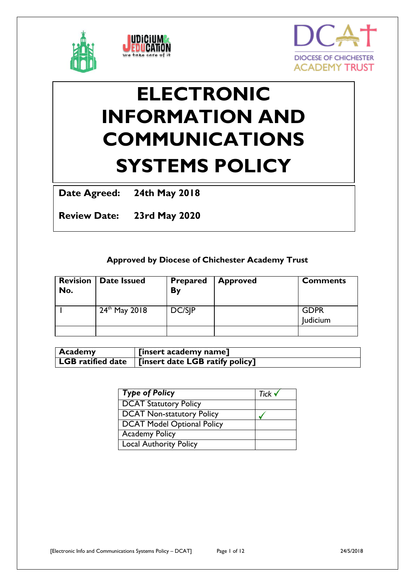



# **ELECTRONIC INFORMATION AND COMMUNICATIONS SYSTEMS POLICY**

**Date Agreed: 24th May 2018**

**Review Date: 23rd May 2020**

# **Approved by Diocese of Chichester Academy Trust**

| <b>Revision</b><br>No. | <b>Date Issued</b> | <b>Prepared</b><br>By | <b>Approved</b> | <b>Comments</b>         |
|------------------------|--------------------|-----------------------|-----------------|-------------------------|
|                        | $24^{th}$ May 2018 | DC/SIP                |                 | <b>GDPR</b><br>Judicium |
|                        |                    |                       |                 |                         |

| <b>Academy</b> | [insert academy name]                                             |
|----------------|-------------------------------------------------------------------|
|                | $\vert$ LGB ratified date $\vert$ [insert date LGB ratify policy] |

| Type of Policy                | Tick $\checkmark$ |
|-------------------------------|-------------------|
| <b>DCAT Statutory Policy</b>  |                   |
| DCAT Non-statutory Policy     |                   |
| DCAT Model Optional Policy    |                   |
| <b>Academy Policy</b>         |                   |
| <b>Local Authority Policy</b> |                   |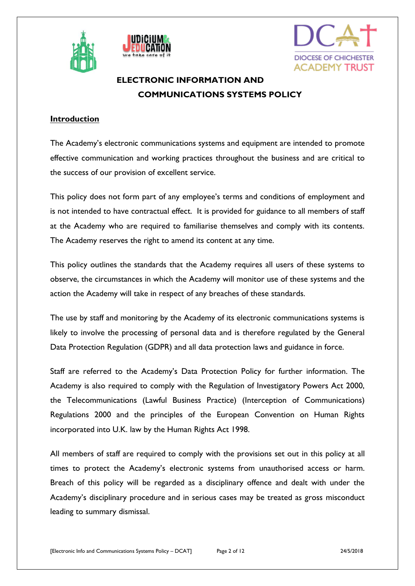





# **ELECTRONIC INFORMATION AND COMMUNICATIONS SYSTEMS POLICY**

#### **Introduction**

The Academy's electronic communications systems and equipment are intended to promote effective communication and working practices throughout the business and are critical to the success of our provision of excellent service.

This policy does not form part of any employee's terms and conditions of employment and is not intended to have contractual effect. It is provided for guidance to all members of staff at the Academy who are required to familiarise themselves and comply with its contents. The Academy reserves the right to amend its content at any time.

This policy outlines the standards that the Academy requires all users of these systems to observe, the circumstances in which the Academy will monitor use of these systems and the action the Academy will take in respect of any breaches of these standards.

The use by staff and monitoring by the Academy of its electronic communications systems is likely to involve the processing of personal data and is therefore regulated by the General Data Protection Regulation (GDPR) and all data protection laws and guidance in force.

Staff are referred to the Academy's Data Protection Policy for further information. The Academy is also required to comply with the Regulation of Investigatory Powers Act 2000, the Telecommunications (Lawful Business Practice) (Interception of Communications) Regulations 2000 and the principles of the European Convention on Human Rights incorporated into U.K. law by the Human Rights Act 1998.

All members of staff are required to comply with the provisions set out in this policy at all times to protect the Academy's electronic systems from unauthorised access or harm. Breach of this policy will be regarded as a disciplinary offence and dealt with under the Academy's disciplinary procedure and in serious cases may be treated as gross misconduct leading to summary dismissal.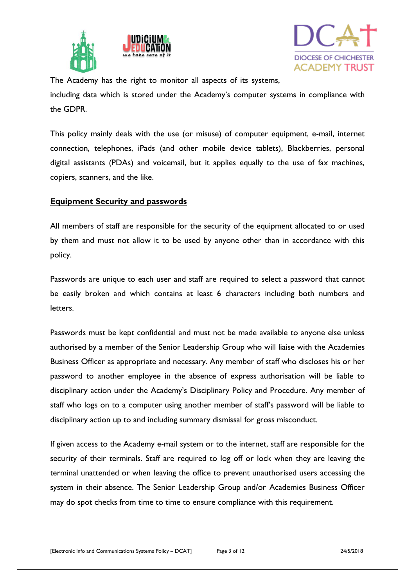





The Academy has the right to monitor all aspects of its systems, including data which is stored under the Academy's computer systems in compliance with the GDPR.

This policy mainly deals with the use (or misuse) of computer equipment, e-mail, internet connection, telephones, iPads (and other mobile device tablets), Blackberries, personal digital assistants (PDAs) and voicemail, but it applies equally to the use of fax machines, copiers, scanners, and the like.

#### **Equipment Security and passwords**

All members of staff are responsible for the security of the equipment allocated to or used by them and must not allow it to be used by anyone other than in accordance with this policy.

Passwords are unique to each user and staff are required to select a password that cannot be easily broken and which contains at least 6 characters including both numbers and letters.

Passwords must be kept confidential and must not be made available to anyone else unless authorised by a member of the Senior Leadership Group who will liaise with the Academies Business Officer as appropriate and necessary. Any member of staff who discloses his or her password to another employee in the absence of express authorisation will be liable to disciplinary action under the Academy's Disciplinary Policy and Procedure. Any member of staff who logs on to a computer using another member of staff's password will be liable to disciplinary action up to and including summary dismissal for gross misconduct.

If given access to the Academy e-mail system or to the internet, staff are responsible for the security of their terminals. Staff are required to log off or lock when they are leaving the terminal unattended or when leaving the office to prevent unauthorised users accessing the system in their absence. The Senior Leadership Group and/or Academies Business Officer may do spot checks from time to time to ensure compliance with this requirement.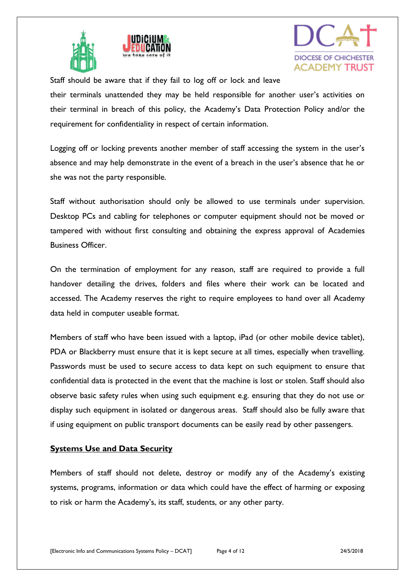



Staff should be aware that if they fail to log off or lock and leave their terminals unattended they may be held responsible for another user's activities on their terminal in breach of this policy, the Academy's Data Protection Policy and/or the requirement for confidentiality in respect of certain information.

Logging off or locking prevents another member of staff accessing the system in the user's absence and may help demonstrate in the event of a breach in the user's absence that he or she was not the party responsible.

Staff without authorisation should only be allowed to use terminals under supervision. Desktop PCs and cabling for telephones or computer equipment should not be moved or tampered with without first consulting and obtaining the express approval of Academies Business Officer.

On the termination of employment for any reason, staff are required to provide a full handover detailing the drives, folders and files where their work can be located and accessed. The Academy reserves the right to require employees to hand over all Academy data held in computer useable format.

Members of staff who have been issued with a laptop, iPad (or other mobile device tablet), PDA or Blackberry must ensure that it is kept secure at all times, especially when travelling. Passwords must be used to secure access to data kept on such equipment to ensure that confidential data is protected in the event that the machine is lost or stolen. Staff should also observe basic safety rules when using such equipment e.g. ensuring that they do not use or display such equipment in isolated or dangerous areas. Staff should also be fully aware that if using equipment on public transport documents can be easily read by other passengers.

#### **Systems Use and Data Security**

Members of staff should not delete, destroy or modify any of the Academy's existing systems, programs, information or data which could have the effect of harming or exposing to risk or harm the Academy's, its staff, students, or any other party.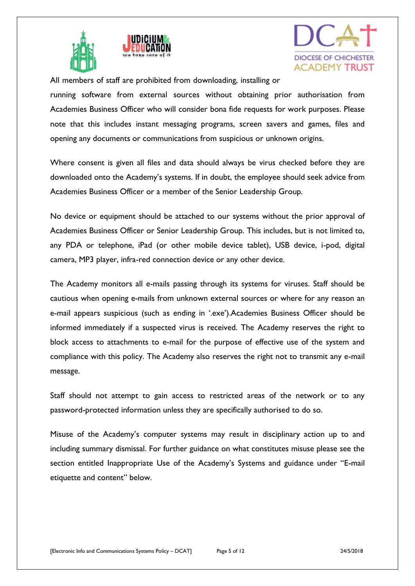



All members of staff are prohibited from downloading, installing or

running software from external sources without obtaining prior authorisation from Academies Business Officer who will consider bona fide requests for work purposes. Please note that this includes instant messaging programs, screen savers and games, files and opening any documents or communications from suspicious or unknown origins.

Where consent is given all files and data should always be virus checked before they are downloaded onto the Academy's systems. If in doubt, the employee should seek advice from Academies Business Officer or a member of the Senior Leadership Group.

No device or equipment should be attached to our systems without the prior approval of Academies Business Officer or Senior Leadership Group. This includes, but is not limited to, any PDA or telephone, iPad (or other mobile device tablet), USB device, i-pod, digital camera, MP3 player, infra-red connection device or any other device.

The Academy monitors all e-mails passing through its systems for viruses. Staff should be cautious when opening e-mails from unknown external sources or where for any reason an e-mail appears suspicious (such as ending in '.exe').Academies Business Officer should be informed immediately if a suspected virus is received. The Academy reserves the right to block access to attachments to e-mail for the purpose of effective use of the system and compliance with this policy. The Academy also reserves the right not to transmit any e-mail message.

Staff should not attempt to gain access to restricted areas of the network or to any password-protected information unless they are specifically authorised to do so.

Misuse of the Academy's computer systems may result in disciplinary action up to and including summary dismissal. For further guidance on what constitutes misuse please see the section entitled Inappropriate Use of the Academy's Systems and guidance under "E-mail etiquette and content" below.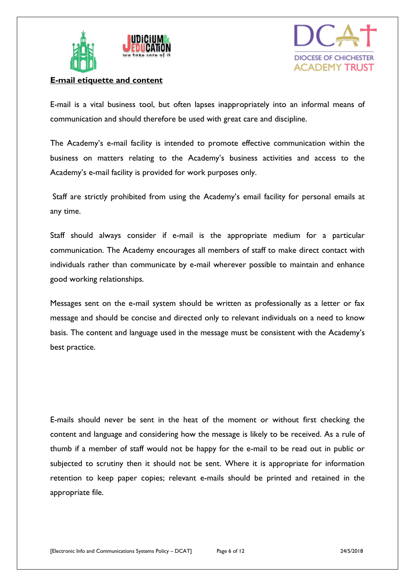



#### **E-mail etiquette and content**

E-mail is a vital business tool, but often lapses inappropriately into an informal means of communication and should therefore be used with great care and discipline.

The Academy's e-mail facility is intended to promote effective communication within the business on matters relating to the Academy's business activities and access to the Academy's e-mail facility is provided for work purposes only.

Staff are strictly prohibited from using the Academy's email facility for personal emails at any time.

Staff should always consider if e-mail is the appropriate medium for a particular communication. The Academy encourages all members of staff to make direct contact with individuals rather than communicate by e-mail wherever possible to maintain and enhance good working relationships.

Messages sent on the e-mail system should be written as professionally as a letter or fax message and should be concise and directed only to relevant individuals on a need to know basis. The content and language used in the message must be consistent with the Academy's best practice.

E-mails should never be sent in the heat of the moment or without first checking the content and language and considering how the message is likely to be received. As a rule of thumb if a member of staff would not be happy for the e-mail to be read out in public or subjected to scrutiny then it should not be sent. Where it is appropriate for information retention to keep paper copies; relevant e-mails should be printed and retained in the appropriate file.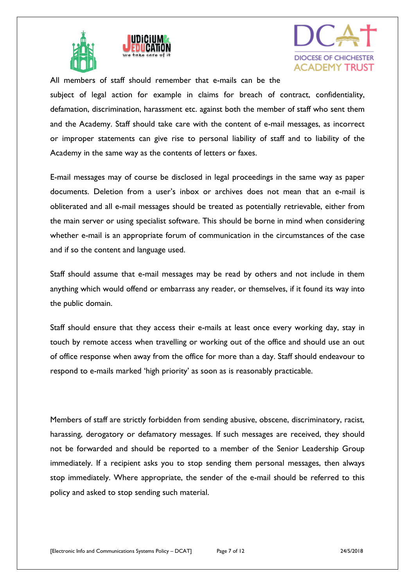



All members of staff should remember that e-mails can be the subject of legal action for example in claims for breach of contract, confidentiality, defamation, discrimination, harassment etc. against both the member of staff who sent them and the Academy. Staff should take care with the content of e-mail messages, as incorrect or improper statements can give rise to personal liability of staff and to liability of the Academy in the same way as the contents of letters or faxes.

E-mail messages may of course be disclosed in legal proceedings in the same way as paper documents. Deletion from a user's inbox or archives does not mean that an e-mail is obliterated and all e-mail messages should be treated as potentially retrievable, either from the main server or using specialist software. This should be borne in mind when considering whether e-mail is an appropriate forum of communication in the circumstances of the case and if so the content and language used.

Staff should assume that e-mail messages may be read by others and not include in them anything which would offend or embarrass any reader, or themselves, if it found its way into the public domain.

Staff should ensure that they access their e-mails at least once every working day, stay in touch by remote access when travelling or working out of the office and should use an out of office response when away from the office for more than a day. Staff should endeavour to respond to e-mails marked 'high priority' as soon as is reasonably practicable.

Members of staff are strictly forbidden from sending abusive, obscene, discriminatory, racist, harassing, derogatory or defamatory messages. If such messages are received, they should not be forwarded and should be reported to a member of the Senior Leadership Group immediately. If a recipient asks you to stop sending them personal messages, then always stop immediately. Where appropriate, the sender of the e-mail should be referred to this policy and asked to stop sending such material.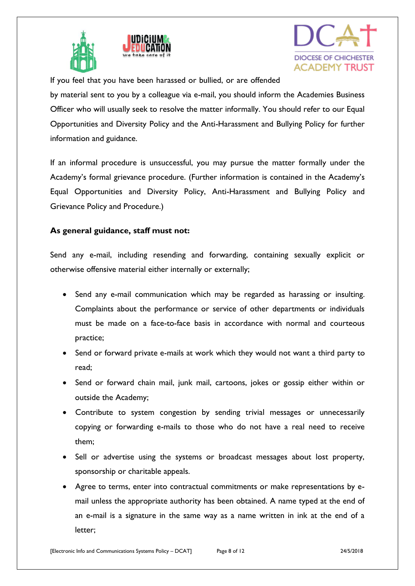





If you feel that you have been harassed or bullied, or are offended

by material sent to you by a colleague via e-mail, you should inform the Academies Business Officer who will usually seek to resolve the matter informally. You should refer to our Equal Opportunities and Diversity Policy and the Anti-Harassment and Bullying Policy for further information and guidance.

If an informal procedure is unsuccessful, you may pursue the matter formally under the Academy's formal grievance procedure. (Further information is contained in the Academy's Equal Opportunities and Diversity Policy, Anti-Harassment and Bullying Policy and Grievance Policy and Procedure.)

#### **As general guidance, staff must not:**

Send any e-mail, including resending and forwarding, containing sexually explicit or otherwise offensive material either internally or externally;

- Send any e-mail communication which may be regarded as harassing or insulting. Complaints about the performance or service of other departments or individuals must be made on a face-to-face basis in accordance with normal and courteous practice;
- Send or forward private e-mails at work which they would not want a third party to read;
- Send or forward chain mail, junk mail, cartoons, jokes or gossip either within or outside the Academy;
- Contribute to system congestion by sending trivial messages or unnecessarily copying or forwarding e-mails to those who do not have a real need to receive them;
- Sell or advertise using the systems or broadcast messages about lost property, sponsorship or charitable appeals.
- Agree to terms, enter into contractual commitments or make representations by email unless the appropriate authority has been obtained. A name typed at the end of an e-mail is a signature in the same way as a name written in ink at the end of a letter;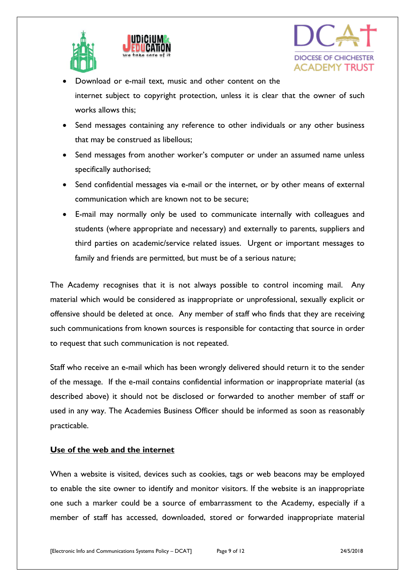





- Download or e-mail text, music and other content on the internet subject to copyright protection, unless it is clear that the owner of such works allows this;
- Send messages containing any reference to other individuals or any other business that may be construed as libellous;
- Send messages from another worker's computer or under an assumed name unless specifically authorised;
- Send confidential messages via e-mail or the internet, or by other means of external communication which are known not to be secure;
- E-mail may normally only be used to communicate internally with colleagues and students (where appropriate and necessary) and externally to parents, suppliers and third parties on academic/service related issues. Urgent or important messages to family and friends are permitted, but must be of a serious nature;

The Academy recognises that it is not always possible to control incoming mail. Any material which would be considered as inappropriate or unprofessional, sexually explicit or offensive should be deleted at once. Any member of staff who finds that they are receiving such communications from known sources is responsible for contacting that source in order to request that such communication is not repeated.

Staff who receive an e-mail which has been wrongly delivered should return it to the sender of the message. If the e-mail contains confidential information or inappropriate material (as described above) it should not be disclosed or forwarded to another member of staff or used in any way. The Academies Business Officer should be informed as soon as reasonably practicable.

# **Use of the web and the internet**

When a website is visited, devices such as cookies, tags or web beacons may be employed to enable the site owner to identify and monitor visitors. If the website is an inappropriate one such a marker could be a source of embarrassment to the Academy, especially if a member of staff has accessed, downloaded, stored or forwarded inappropriate material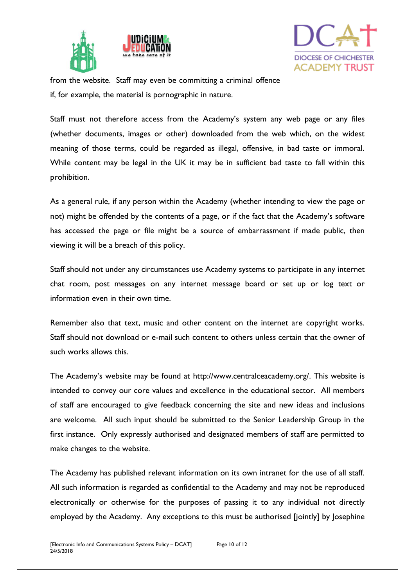



from the website. Staff may even be committing a criminal offence if, for example, the material is pornographic in nature.

Staff must not therefore access from the Academy's system any web page or any files (whether documents, images or other) downloaded from the web which, on the widest meaning of those terms, could be regarded as illegal, offensive, in bad taste or immoral. While content may be legal in the UK it may be in sufficient bad taste to fall within this prohibition.

As a general rule, if any person within the Academy (whether intending to view the page or not) might be offended by the contents of a page, or if the fact that the Academy's software has accessed the page or file might be a source of embarrassment if made public, then viewing it will be a breach of this policy.

Staff should not under any circumstances use Academy systems to participate in any internet chat room, post messages on any internet message board or set up or log text or information even in their own time.

Remember also that text, music and other content on the internet are copyright works. Staff should not download or e-mail such content to others unless certain that the owner of such works allows this.

The Academy's website may be found at http://www.centralceacademy.org/. This website is intended to convey our core values and excellence in the educational sector. All members of staff are encouraged to give feedback concerning the site and new ideas and inclusions are welcome. All such input should be submitted to the Senior Leadership Group in the first instance. Only expressly authorised and designated members of staff are permitted to make changes to the website.

The Academy has published relevant information on its own intranet for the use of all staff. All such information is regarded as confidential to the Academy and may not be reproduced electronically or otherwise for the purposes of passing it to any individual not directly employed by the Academy. Any exceptions to this must be authorised [jointly] by Josephine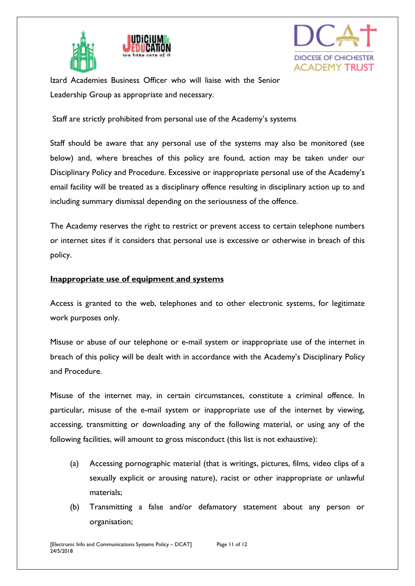





Izard Academies Business Officer who will liaise with the Senior Leadership Group as appropriate and necessary.

Staff are strictly prohibited from personal use of the Academy's systems

Staff should be aware that any personal use of the systems may also be monitored (see below) and, where breaches of this policy are found, action may be taken under our Disciplinary Policy and Procedure. Excessive or inappropriate personal use of the Academy's email facility will be treated as a disciplinary offence resulting in disciplinary action up to and including summary dismissal depending on the seriousness of the offence.

The Academy reserves the right to restrict or prevent access to certain telephone numbers or internet sites if it considers that personal use is excessive or otherwise in breach of this policy.

### **Inappropriate use of equipment and systems**

Access is granted to the web, telephones and to other electronic systems, for legitimate work purposes only.

Misuse or abuse of our telephone or e-mail system or inappropriate use of the internet in breach of this policy will be dealt with in accordance with the Academy's Disciplinary Policy and Procedure.

Misuse of the internet may, in certain circumstances, constitute a criminal offence. In particular, misuse of the e-mail system or inappropriate use of the internet by viewing, accessing, transmitting or downloading any of the following material, or using any of the following facilities, will amount to gross misconduct (this list is not exhaustive):

- (a) Accessing pornographic material (that is writings, pictures, films, video clips of a sexually explicit or arousing nature), racist or other inappropriate or unlawful materials;
- (b) Transmitting a false and/or defamatory statement about any person or organisation;